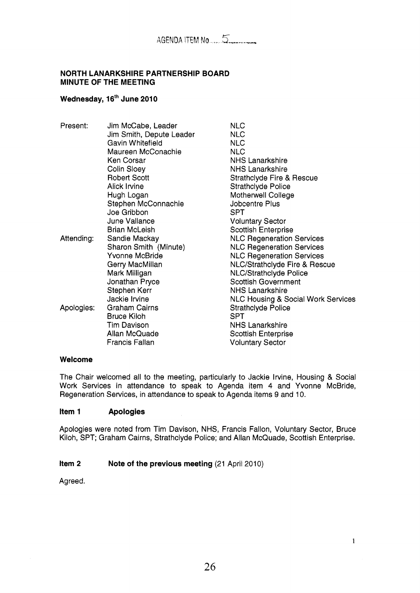### **NORTH LANARKSHIRE PARTNERSHIP BOARD MINUTE OF THE MEETING**

# Wednesday, 16<sup>th</sup> June 2010

| Present:   | Jim McCabe, Leader       | <b>NLC</b>                           |
|------------|--------------------------|--------------------------------------|
|            | Jim Smith, Depute Leader | <b>NLC</b>                           |
|            | Gavin Whitefield         | <b>NLC</b>                           |
|            | Maureen McConachie       | <b>NLC</b>                           |
|            | Ken Corsar               | <b>NHS Lanarkshire</b>               |
|            | Colin Sloey              | <b>NHS Lanarkshire</b>               |
|            | <b>Robert Scott</b>      | <b>Strathclyde Fire &amp; Rescue</b> |
|            | Alick Irvine             | <b>Strathclyde Police</b>            |
|            | Hugh Logan               | Motherwell College                   |
|            | Stephen McConnachie      | Jobcentre Plus                       |
|            | Joe Gribbon              | SPT.                                 |
|            | June Vallance            | <b>Voluntary Sector</b>              |
|            | <b>Brian McLeish</b>     | <b>Scottish Enterprise</b>           |
| Attending: | Sandie Mackay            | <b>NLC Regeneration Services</b>     |
|            | Sharon Smith (Minute)    | <b>NLC Regeneration Services</b>     |
|            | Yvonne McBride           | <b>NLC Regeneration Services</b>     |
|            | Gerry MacMillan          | NLC/Strathclyde Fire & Rescue        |
|            | Mark Milligan            | <b>NLC/Strathclyde Police</b>        |
|            | Jonathan Pryce           | <b>Scottish Government</b>           |
|            | Stephen Kerr             | NHS Lanarkshire                      |
|            | Jackie Irvine            | NLC Housing & Social Work Services   |
| Apologies: | <b>Graham Cairns</b>     | <b>Strathclyde Police</b>            |
|            | <b>Bruce Kiloh</b>       | <b>SPT</b>                           |
|            | <b>Tim Davison</b>       | <b>NHS Lanarkshire</b>               |
|            | Allan McQuade            | <b>Scottish Enterprise</b>           |
|            | <b>Francis Fallan</b>    | <b>Voluntary Sector</b>              |
|            |                          |                                      |

### **Welcome**

The Chair welcomed all to the meeting, particularly to Jackie Irvine, Housing & Social Work Services in attendance to speak to Agenda item **4** and Yvonne McBride, Regeneration Services, in attendance to speak to Agenda items 9 and 10.

### **Item 1 Apologies**

Apologies were noted from Tim Davison, NHS, Francis Fallon, Voluntary Sector, Bruce Kiloh, SPT; Graham Cairns, Strathclyde Police; and Allan McQuade, Scottish Enterprise.

## **Item 2** Note of the previous meeting (21 April 2010)

Agreed.

1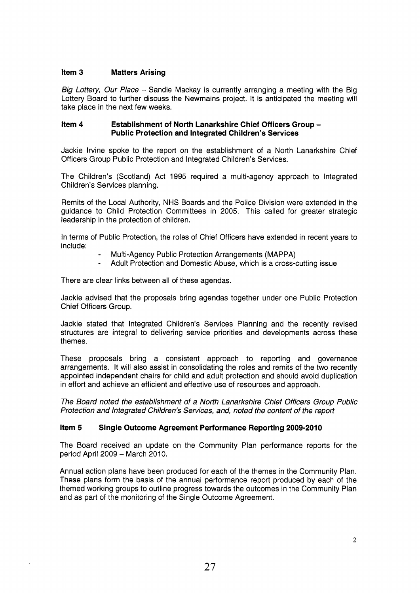## **Item 3 Matters Arising**

*Big Lottery, Our Place* - Sandie Mackay is currently arranging a meeting with the Big Lottery Board to further discuss the Newmains project. It is anticipated the meeting will take place in the next few weeks.

## **Item 4 Establishment of North Lanarkshire Chief Officers Group** - **Public Protection and Integrated Children's Services**

Jackie lrvine spoke to the report on the establishment of a North Lanarkshire Chief Officers Group Public Protection and Integrated Children's Services.

The Children's (Scotland) Act 1995 required a multi-agency approach to Integrated Children's Services planning.

Remits of the Local Authority, NHS Boards and the Police Division were extended in the guidance to Child Protection Committees in 2005. This called for greater strategic leadership in the protection of children.

In terms of Public Protection, the roles of Chief Officers have extended in recent years to include:

- Multi-Agency Public Protection Arrangements (MAPPA)
- Adult Protection and Domestic Abuse, which is a cross-cutting issue

There are clear links between all of these agendas.

Jackie advised that the proposals bring agendas together under one Public Protection Chief Officers Group.

Jackie stated that Integrated Children's Services Planning and the recently revised structures are integral to delivering service priorities and developments across these themes.

These proposals bring a consistent approach to reporting and governance arrangements. It will also assist in consolidating the roles and remits of the two recently appointed independent chairs for child and adult protection and should avoid duplication in effort and achieve an efficient and effective use of resources and approach.

*The Board noted the establishment of a North Lanarkshire Chief Officers Group Public Protection and Integrated Children's Services, and, noted the content of the report* 

## **Item 5 Single Outcome Agreement Performance Reporting 2009-2010**

The Board received an update on the Community Plan performance reports for the period April  $2009 -$  March 2010.

Annual action plans have been produced for each of the themes in the Community Plan. These plans form the basis of the annual performance report produced by each of the themed working groups to outline progress towards the outcomes in the Community Plan and as part of the monitoring of the Single Outcome Agreement.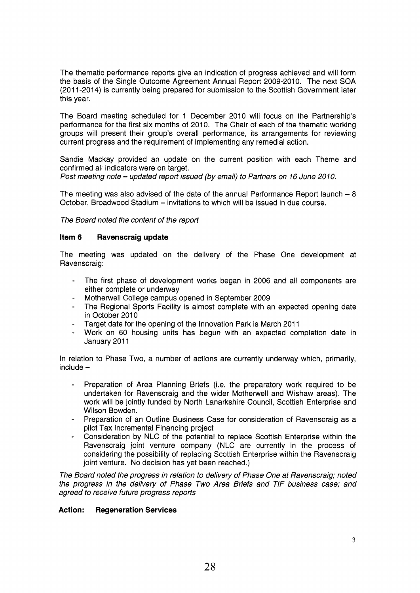The thematic performance reports give an indication of progress achieved and will form the basis of the Single Outcome Agreement Annual Report 2009-2010. The next SOA (2011-2014) is currently being prepared for submission to the Scottish Government later this year.

The Board meeting scheduled for 1 December 2010 will focus on the Partnership's performance for the first six months of 2010. The Chair of each of the thematic working groups will present their group's overall performance, its arrangements for reviewing current progress and the requirement of implementing any remedial action.

Sandie Mackay provided an update on the current position with each Theme and confirmed all indicators were on target.

*Post meeting note* - *updated report issued (by email) to Partners on 16 June 2010.* 

The meeting was also advised of the date of the annual Performance Report launch  $-8$ October, Broadwood Stadium - invitations to which will be issued in due course.

*The Board noted the content of the report* 

## **Item 6 Ravenscraig update**

The meeting was updated on the delivery of the Phase One development at Ravenscraig:

- The first phase of development works began in 2006 and all components are either complete or underway
- Motherwell College campus opened in September 2009
- The Regional Sports Facility is almost complete with an expected opening date in October 2010
- Target date for the opening of the Innovation Park is March 2011
- Work on 60 housing units has begun with an expected completion date in January 2011

In relation to Phase Two, a number of actions are currently underway which, primarily,  $include -$ 

- Preparation of Area Planning Briefs (i.e. the preparatory work required to be undertaken for Ravenscraig and the wider Motherwell and Wishaw areas). The work will be jointly funded by North Lanarkshire Council, Scottish Enterprise and Wilson Bowden.
- Preparation of an Outline Business Case for consideration of Ravenscraig as a pilot Tax Incremental Financing project -
- Consideration by NLC of the potential to replace Scottish Enterprise within the Ravenscraig joint venture company (NLC are currently in the process of considering the possibility of replacing Scottish Enterprise within the Ravenscraig joint venture. No decision has yet been reached.) -

*The Board noted the progress in relation to delivery of Phase One at Ravenscraig; noted the progress in the delivery of Phase Two Area Briefs and TIF business case; and agreed to receive future progress reports* 

### **Action: Regeneration Services**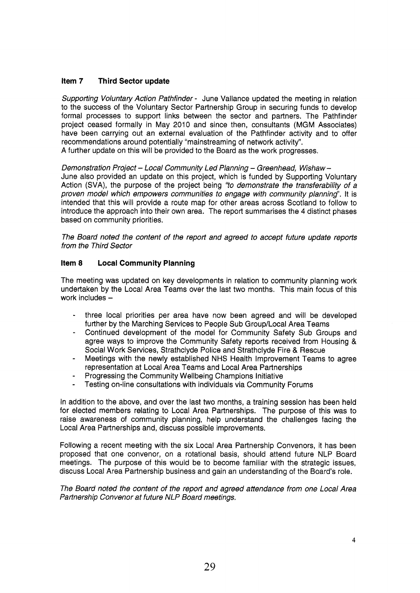## **Item 7 Third Sector update**

*Supporting Voluntary Action Pathfinder* - June Valance updated the meeting in relation to the success of the Voluntary Sector Partnership Group in securing funds to develop formal processes to support links between the sector and partners. The Pathfinder project ceased formally in May 2010 and since then, consultants (MGM Associates) have been carrying out an external evaluation of the Pathfinder activity and to offer recommendations around potentially "mainstreaming of network activity". A further update on this will be provided to the Board as the work progresses.

*Demonstration Project* - *Local Community Led Planning* - *Greenhead, Wishaw* -

June also provided an update on this project, which is funded by Supporting Voluntary Action (SVA), the purpose of the project being *"to demonstrate the transferability of a proven model which empowers communities to engage with community planning".* It is intended that this will provide a route map for other areas across Scotland to follow to introduce the approach into their own area. The report summarises the 4 distinct phases based on community priorities.

*The Board noted the content of the report and agreed to accept future update reports from the Third Sector* 

## **Item 8 Local Community Planning**

The meeting was updated on key developments in relation to community planning work undertaken by the Local Area Teams over the last two months. This main focus of this work includes  $-$ 

- three local priorities per area have now been agreed and will be developed further by the Marching Services to People Sub Group/Local Area Teams
- Continued development of the model for Community Safety Sub Groups and agree ways to improve the Community Safety reports received from Housing & Social Work Services, Strathclyde Police and Strathclyde Fire & Rescue
- Meetings with the newly established NHS Health Improvement Teams to agree representation at Local Area Teams and Local Area Partnerships -
- Progressing the Community Wellbeing Champions Initiative -
- Testing on-line consultations with individuals via Community Forums -

In addition to the above, and over the last two months, a training session has been held for elected members relating to Local Area Partnerships. The purpose of this was to raise awareness of community planning, help understand the challenges facing the Local Area Partnerships and, discuss possible improvements.

Following a recent meeting with the six Local Area Partnership Convenors, it has been proposed that one convenor, on a rotational basis, should attend future NLP Board meetings. The purpose of this would be to become familiar with the strategic issues, discuss Local Area Partnership business and gain an understanding of the Board's role.

*The Board noted the content of the report and agreed attendance from one Local Area Partnership Convenor at future NLP Board meetings.*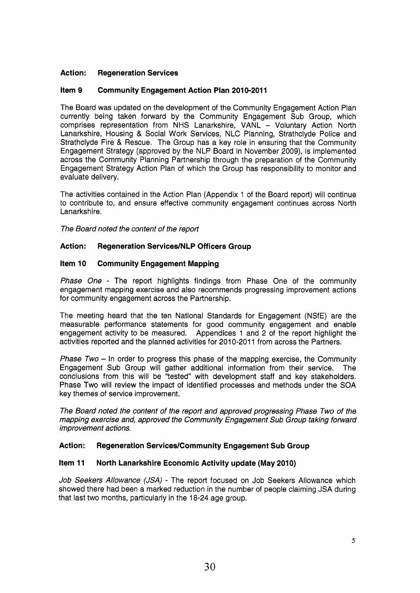## **Action: Regeneration Services**

## **Item 9 Community Engagement Action Plan 2010-2011**

The Board was updated on the development of the Community Engagement Action Plan currently being taken forward by the Community Engagement Sub Group, which comprises representation from NHS Lanarkshire, VANL - Voluntary Action North Lanarkshire, Housing & Social Work Services, NLC Planning, Strathclyde Police and Strathclyde Fire & Rescue. The Group has a key role in ensuring that the Community Engagement Strategy (approved by the NLP Board in November 2009), is implemented across the Community Planning Partnership through the preparation of the Community Engagement Strategy Action Plan of which the Group has responsibility to monitor and evaluate delivery.

The activities contained in the Action Plan (Appendix 1 of the Board report) will continue to contribute to, and ensure effective community engagement continues across North Lanarkshire.

*The Board noted the content of the report* 

## Action: Regeneration Services/NLP Officers Group

## **Item 10 Community Engagement Mapping**

*Phase One* - The report highlights findings from Phase One of the community engagement mapping exercise and also recommends progressing improvement actions for community engagement across the Partnership.

The meeting heard that the ten National Standards for Engagement (NSfE) are the measurable performance statements for good community engagement and enable engagement activity to be measured. Appendices 1 and 2 of the report highlight the activities reported and the planned activities for 2010-2011 from across the Partners.

*Phase Two - In order to progress this phase of the mapping exercise, the Community* Engagement Sub Group will gather additional information from their service. The conclusions from this will be "tested" with development staff and key stakeholders. Phase Two will review the impact of identified processes and methods under the SOA key themes of service improvement.

*The Board noted the content of the report and approved progressing Phase Two of the mapping exercise and, approved the Community Engagement Sub Group taking forward improvement actions.* 

### **Action: Regeneration Services/Community Engagement Sub Group**

## **Item 11 North Lanarkshire Economic Activity update (May 2010)**

*Job Seekers Allowance (JSA)* - The report focused on Job Seekers Allowance which showed there had been a marked reduction in the number of people claiming JSA during that last two months, particularly in the 18-24 age group.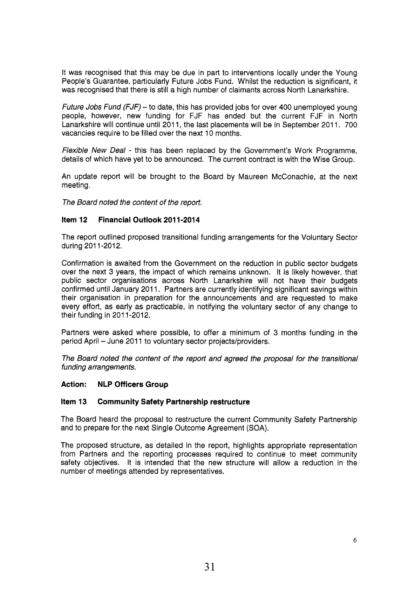It was recognised that this may be due in part to interventions locally under the Young People's Guarantee, particularly Future Jobs Fund. Whilst the reduction is significant, it was recognised that there is still a high number of claimants across North Lanarkshire.

*Future Jobs Fund (fJf)* - to date, this has provided jobs for over 400 unemployed young people, however, new funding for FJF has ended but the current FJF in North Lanarkshire will continue until 2011, the last placements will be in September 2011. 700 vacancies require to be filled over the next 10 months.

*Flexible New Deal* - this has been replaced by the Government's Work Programme, details of which have yet to be announced. The current contract is with the Wise Group.

An update report will be brought to the Board by Maureen McConachie, at the next meeting.

*The Board noted the content of the report,* 

### **Item 12 Financial Outlook 2011-2014**

The report outlined proposed transitional funding arrangements for the Voluntary Sector during 201 1-2012.

Confirmation is awaited from the Government on the reduction in public sector budgets over the next 3 years, the impact of which remains unknown. It is likely however, that public sector organisations across North Lanarkshire will not have their budgets confirmed until January 2011. Partners are currently identifying significant savings within their organisation in preparation for the announcements and are requested to make every effort, as early as practicable, in notifying the voluntary sector of any change to their funding in 201 1-2012.

Partners were asked where possible, to offer a minimum of 3 months funding in the period April - June 2011 to voluntary sector projects/providers.

*The Board noted the content of the report and agreed the proposal for the transitional funding arrangements.* 

### **Action: NLP Officers Group**

#### **Item 13 Community Safety Partnership restructure**

The Board heard the proposal to restructure the current Community Safety Partnership and to prepare for the next Single Outcome Agreement (SOA).

The proposed structure, as detailed in the report, highlights appropriate representation from Partners and the reporting processes required to continue to meet community safety objectives. It is intended that the new structure will allow a reduction in the number of meetings attended by representatives.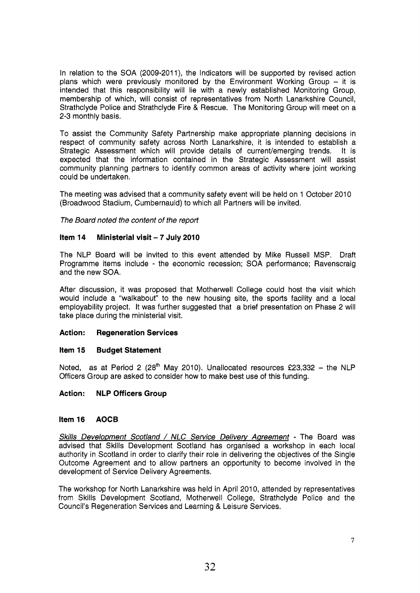In relation to the SOA (2009-2011), the Indicators will be supported by revised action plans which were previously monitored by the Environment Working Group  $-$  it is intended that this responsibility will lie with a newly established Monitoring Group, membership of which, will consist of representatives from North Lanarkshire Council, Strathclyde Police and Strathclyde Fire & Rescue. The Monitoring Group will meet on a 2-3 monthly basis.

To assist the Community Safety Partnership make appropriate planning decisions in respect of community safety across North Lanarkshire, it is intended to establish a Strategic Assessment which will provide details of current/emerging trends. It is expected that the information contained in the Strategic Assessment will assist community planning partners to identify common areas of activity where joint working could be undertaken.

The meeting was advised that a community safety event will be held on 1 October 2010 (Broadwood Stadium, Cumbernauld) to which all Partners will be invited.

*The Board noted the content of the reporf* 

## **Item 14 Ministerial visit** - **7 July 2010**

The NLP Board will be invited to this event attended by Mike Russell MSP. Draft Programme items include - the economic recession; SOA performance; Ravenscraig and the new SOA.

After discussion, it was proposed that Motherwell College could host the visit which would include a "walkabout" to the new housing site, the sports facility and a local employability project. It was further suggested that a brief presentation on Phase 2 will take place during the ministerial visit.

### **Action: Regeneration Services**

### **Item 15 Budget Statement**

Noted, as at Period 2 (28<sup>th</sup> May 2010). Unallocated resources £23,332 - the NLP Officers Group are asked to consider how to make best use of this funding.

## **Action: NLP Officers Group**

### **Item 16 AOCB**

*Skills Development Scotland* / *NLC Service Deliverv Aureement* - The Board was advised that Skills Development Scotland has organised a workshop in each local authority in Scotland in order to clarify their role in delivering the objectives of the Single Outcome Agreement and to allow partners an opportunity to become involved in the development of Service Delivery Agreements.

The workshop for North Lanarkshire was held in April 2010, attended by representatives from Skills Development Scotland, Motherwell College, Strathclyde Police and the Council's Regeneration Services and Learning & Leisure Services.